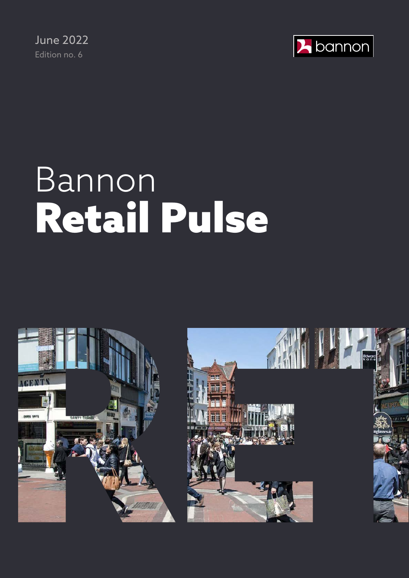June 2022 Edition no. 6



# Bannon Retail Pulse



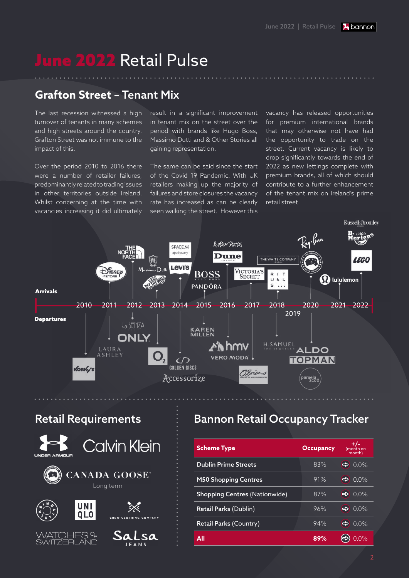### June 2022 Retail Pulse

### **Grafton Street** – Tenant Mix

The last recession witnessed a high turnover of tenants in many schemes and high streets around the country. Grafton Street was not immune to the impact of this.

Over the period 2010 to 2016 there were a number of retailer failures, predominantly related to trading issues in other territories outside Ireland. Whilst concerning at the time with vacancies increasing it did ultimately result in a significant improvement in tenant mix on the street over the period with brands like Hugo Boss, Massimo Dutti and & Other Stories all gaining representation.

The same can be said since the start of the Covid 19 Pandemic. With UK retailers making up the majority of failures and store closures the vacancy rate has increased as can be clearly seen walking the street. However this

vacancy has released opportunities for premium international brands that may otherwise not have had the opportunity to trade on the street. Current vacancy is likely to drop significantly towards the end of 2022 as new lettings complete with premium brands, all of which should contribute to a further enhancement of the tenant mix on Ireland's prime retail street.



#### Retail Requirements













### Bannon Retail Occupancy Tracker

| <b>Scheme Type</b>                   | <b>Occupancy</b> | +/-<br>(month on<br>month) |
|--------------------------------------|------------------|----------------------------|
| <b>Dublin Prime Streets</b>          | 83%              | 0.0%                       |
| <b>M50 Shopping Centres</b>          | 91%              | 0.0%                       |
| <b>Shopping Centres (Nationwide)</b> | 87%              | 0.0%                       |
| Retail Parks (Dublin)                | 96%              | 0.0%                       |
| Retail Parks (Country)               | 94%              | 0.0%                       |
| Αll                                  | 89%              | $0.0\%$                    |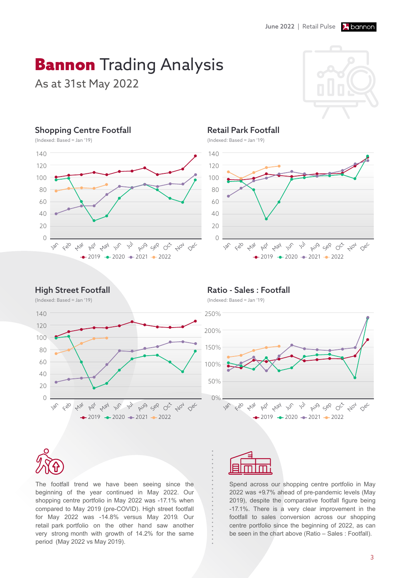June 2022 | Retail Pulse | bannon

# **Bannon** Trading Analysis

As at 31st May 2022



#### Shopping Centre Footfall



#### Retail Park Footfall

(Indexed: Based = Jan '19)



#### High Street Footfall

(Indexed: Based = Jan '19)



#### Ratio - Sales : Footfall

(Indexed: Based = Jan '19)





The footfall trend we have been seeing since the beginning of the year continued in May 2022. Our shopping centre portfolio in May 2022 was -17.1% when compared to May 2019 (pre-COVID). High street footfall for May 2022 was -14.8% versus May 2019. Our retail park portfolio on the other hand saw another very strong month with growth of 14.2% for the same period (May 2022 vs May 2019).



Spend across our shopping centre portfolio in May 2022 was +9.7% ahead of pre-pandemic levels (May 2019), despite the comparative footfall figure being -17.1%. There is a very clear improvement in the footfall to sales conversion across our shopping centre portfolio since the beginning of 2022, as can be seen in the chart above (Ratio – Sales : Footfall).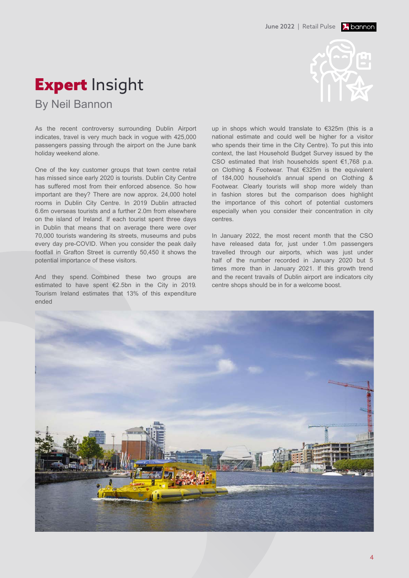## **Expert Insight**

By Neil Bannon

As the recent controversy surrounding Dublin Airport indicates, travel is very much back in vogue with 425,000 passengers passing through the airport on the June bank holiday weekend alone.

One of the key customer groups that town centre retail has missed since early 2020 is tourists. Dublin City Centre has suffered most from their enforced absence. So how important are they? There are now approx. 24,000 hotel rooms in Dublin City Centre. In 2019 Dublin attracted 6.6m overseas tourists and a further 2.0m from elsewhere on the island of Ireland. If each tourist spent three days in Dublin that means that on average there were over 70,000 tourists wandering its streets, museums and pubs every day pre-COVID. When you consider the peak daily footfall in Grafton Street is currently 50,450 it shows the potential importance of these visitors.

And they spend. Combined these two groups are estimated to have spent €2.5bn in the City in 2019. Tourism Ireland estimates that 13% of this expenditure ended

up in shops which would translate to €325m (this is a national estimate and could well be higher for a visitor who spends their time in the City Centre). To put this into context, the last Household Budget Survey issued by the CSO estimated that Irish households spent €1,768 p.a. on Clothing & Footwear. That €325m is the equivalent of 184,000 household's annual spend on Clothing & Footwear. Clearly tourists will shop more widely than in fashion stores but the comparison does highlight the importance of this cohort of potential customers especially when you consider their concentration in city centres.

In January 2022, the most recent month that the CSO have released data for, just under 1.0m passengers travelled through our airports, which was just under half of the number recorded in January 2020 but 5 times more than in January 2021. If this growth trend and the recent travails of Dublin airport are indicators city centre shops should be in for a welcome boost.